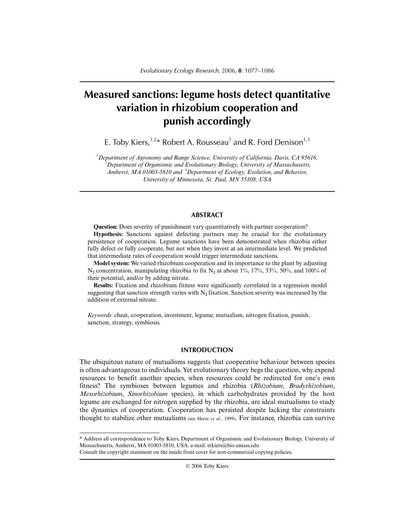# **Measured sanctions: legume hosts detect quantitative variation in rhizobium cooperation and punish accordingly**

E. Toby Kiers,  $1.2*$  Robert A. Rousseau<sup>1</sup> and R. Ford Denison<sup>1,3</sup>

*1 Department of Agronomy and Range Science, University of California, Davis, CA 95616, 2 Department of Organismic and Evolutionary Biology, University of Massachusetts, Amherst, MA 01003-5810 and <sup>3</sup> Department of Ecology, Evolution, and Behavior, University of Minnesota, St. Paul, MN 55108, USA*

## **ABSTRACT**

**Question:** Does severity of punishment vary quantitatively with partner cooperation?

**Hypothesis:** Sanctions against defecting partners may be crucial for the evolutionary persistence of cooperation. Legume sanctions have been demonstrated when rhizobia either fully defect or fully cooperate, but not when they invest at an intermediate level. We predicted that intermediate rates of cooperation would trigger intermediate sanctions.

**Model system:** We varied rhizobium cooperation and its importance to the plant by adjusting N<sub>2</sub> concentration, manipulating rhizobia to fix N<sub>2</sub> at about 1\%, 17\%, 33\%, 50\%, and 100\% of their potential, and/or by adding nitrate.

**Results:** Fixation and rhizobium fitness were significantly correlated in a regression model suggesting that sanction strength varies with N**2** fixation. Sanction severity was increased by the addition of external nitrate.

*Keywords*: cheat, cooperation, investment, legume, mutualism, nitrogen fixation, punish, sanction, strategy, symbiosis.

## **INTRODUCTION**

The ubiquitous nature of mutualisms suggests that cooperative behaviour between species is often advantageous to individuals. Yet evolutionary theory begs the question, why expend resources to benefit another species, when resources could be redirected for one's own fitness? The symbioses between legumes and rhizobia (*Rhizobium*, *Bradyrhizobium*, *Mesorhizobium*, *Sinorhizobium* species), in which carbohydrates provided by the host legume are exchanged for nitrogen supplied by the rhizobia, are ideal mutualisms to study the dynamics of cooperation. Cooperation has persisted despite lacking the constraints thought to stabilize other mutualisms (see Herre *et al.*, 1999). For instance, rhizobia can survive

Consult the copyright statement on the inside front cover for non-commercial copying policies.

<sup>\*</sup> Address all correspondence to Toby Kiers, Department of Organismic and Evolutionary Biology, University of Massachusetts, Amherst, MA 01003-5810, USA. e-mail: etkiers@bio.umass.edu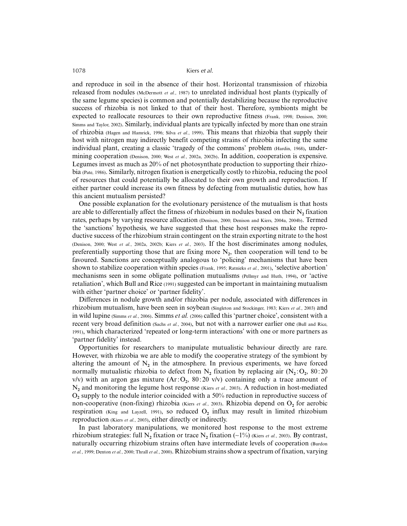and reproduce in soil in the absence of their host. Horizontal transmission of rhizobia released from nodules (McDermott *et al.*, 1987) to unrelated individual host plants (typically of the same legume species) is common and potentially destabilizing because the reproductive success of rhizobia is not linked to that of their host. Therefore, symbionts might be expected to reallocate resources to their own reproductive fitness (Frank, 1998; Denison, 2000; Simms and Taylor, 2002). Similarly, individual plants are typically infected by more than one strain of rhizobia (Hagen and Hamrick, 1996; Silva *et al.*, 1999). This means that rhizobia that supply their host with nitrogen may indirectly benefit competing strains of rhizobia infecting the same individual plant, creating a classic 'tragedy of the commons' problem (Hardin, 1968), undermining cooperation (Denison, 2000; West *et al.*, 2002a, 2002b). In addition, cooperation is expensive. Legumes invest as much as 20% of net photosynthate production to supporting their rhizobia (Pate, 1986). Similarly, nitrogen fixation is energetically costly to rhizobia, reducing the pool of resources that could potentially be allocated to their own growth and reproduction. If either partner could increase its own fitness by defecting from mutualistic duties, how has this ancient mutualism persisted?

One possible explanation for the evolutionary persistence of the mutualism is that hosts are able to differentially affect the fitness of rhizobium in nodules based on their N**2** fixation rates, perhaps by varying resource allocation (Denison, 2000; Denison and Kiers, 2004a, 2004b). Termed the 'sanctions' hypothesis, we have suggested that these host responses make the reproductive success of the rhizobium strain contingent on the strain exporting nitrate to the host (Denison, 2000; West *et al.*, 2002a, 2002b; Kiers *et al.*, 2003). If the host discriminates among nodules, preferentially supporting those that are fixing more  $N_2$ , then cooperation will tend to be favoured. Sanctions are conceptually analogous to 'policing' mechanisms that have been shown to stabilize cooperation within species (Frank, 1995; Ratnieks *et al.*, 2001), 'selective abortion' mechanisms seen in some obligate pollination mutualisms (Pellmyr and Huth, 1994), or 'active retaliation', which Bull and Rice (1991) suggested can be important in maintaining mutualism with either 'partner choice' or 'partner fidelity'.

Differences in nodule growth and/or rhizobia per nodule, associated with differences in rhizobium mutualism, have been seen in soybean (Singleton and Stockinger, 1983; Kiers *et al.*, 2003) and in wild lupine (Simms *et al.*, 2006). Simms *et al.* (2006) called this 'partner choice', consistent with a recent very broad definition (Sachs *et al.*, 2004), but not with a narrower earlier one (Bull and Rice, 1991), which characterized 'repeated or long-term interactions' with one or more partners as 'partner fidelity' instead.

Opportunities for researchers to manipulate mutualistic behaviour directly are rare. However, with rhizobia we are able to modify the cooperative strategy of the symbiont by altering the amount of  $N_2$  in the atmosphere. In previous experiments, we have forced normally mutualistic rhizobia to defect from  $N_2$  fixation by replacing air  $(N_2:O_2, 80:20)$  $v/v$ ) with an argon gas mixture  $(Ar:O<sub>2</sub>, 80:20 v/v)$  containing only a trace amount of N**2** and monitoring the legume host response (Kiers *et al.*, 2003). A reduction in host-mediated O**2** supply to the nodule interior coincided with a 50% reduction in reproductive success of non-cooperative (non-fixing) rhizobia (Kiers *et al.*, 2003). Rhizobia depend on O<sub>2</sub> for aerobic respiration (King and Layzell, 1991), so reduced O**2** influx may result in limited rhizobium reproduction (Kiers *et al.*, 2003), either directly or indirectly.

In past laboratory manipulations, we monitored host response to the most extreme rhizobium strategies: full N**2** fixation or trace N**2** fixation (∼1%) (Kiers *et al.*, 2003). By contrast, naturally occurring rhizobium strains often have intermediate levels of cooperation (Burdon *et al.*, 1999; Denton *et al.*, 2000; Thrall *et al.*, 2000). Rhizobium strains show a spectrum of fixation, varying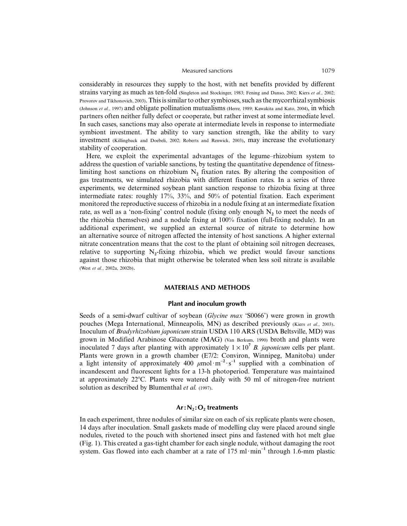#### Measured sanctions 1079

considerably in resources they supply to the host, with net benefits provided by different strains varying as much as ten-fold (Singleton and Stockinger, 1983; Fening and Danso, 2002; Kiers *et al.*, 2002; Provorov and Tikhonovich, 2003). This is similar to other symbioses, such as the mycorrhizal symbiosis (Johnson *et al.*, 1997) and obligate pollination mutualisms (Herre, 1989; Kawakita and Kato, 2004), in which partners often neither fully defect or cooperate, but rather invest at some intermediate level. In such cases, sanctions may also operate at intermediate levels in response to intermediate symbiont investment. The ability to vary sanction strength, like the ability to vary investment (Killingback and Doebeli, 2002; Roberts and Renwick, 2003), may increase the evolutionary stability of cooperation.

Here, we exploit the experimental advantages of the legume–rhizobium system to address the question of variable sanctions, by testing the quantitative dependence of fitnesslimiting host sanctions on rhizobium  $N_2$  fixation rates. By altering the composition of gas treatments, we simulated rhizobia with different fixation rates. In a series of three experiments, we determined soybean plant sanction response to rhizobia fixing at three intermediate rates: roughly 17%, 33%, and 50% of potential fixation. Each experiment monitored the reproductive success of rhizobia in a nodule fixing at an intermediate fixation rate, as well as a 'non-fixing' control nodule (fixing only enough  $N<sub>2</sub>$  to meet the needs of the rhizobia themselves) and a nodule fixing at 100% fixation (full-fixing nodule). In an additional experiment, we supplied an external source of nitrate to determine how an alternative source of nitrogen affected the intensity of host sanctions. A higher external nitrate concentration means that the cost to the plant of obtaining soil nitrogen decreases, relative to supporting  $N<sub>2</sub>$ -fixing rhizobia, which we predict would favour sanctions against those rhizobia that might otherwise be tolerated when less soil nitrate is available (West *et al.*, 2002a, 2002b).

## **MATERIALS AND METHODS**

## **Plant and inoculum growth**

Seeds of a semi-dwarf cultivar of soybean (*Glycine max* 'S0066') were grown in growth pouches (Mega International, Minneapolis, MN) as described previously (Kiers *et al.*, 2003). Inoculum of *Bradyrhizobium japonicum* strain USDA 110 ARS (USDA Beltsville, MD) was grown in Modified Arabinose Gluconate (MAG) (Van Berkum, 1990) broth and plants were inoculated 7 days after planting with approximately  $1 \times 10^7$  *B. japonicum* cells per plant. Plants were grown in a growth chamber (E7/2: Conviron, Winnipeg, Manitoba) under a light intensity of approximately 400  $\mu$ mol·m<sup>-2</sup>·s<sup>-1</sup> supplied with a combination of incandescent and fluorescent lights for a 13-h photoperiod. Temperature was maintained at approximately 22C. Plants were watered daily with 50 ml of nitrogen-free nutrient solution as described by Blumenthal *et al.* (1997).

## Ar: N<sub>2</sub>: O<sub>2</sub> treatments

In each experiment, three nodules of similar size on each of six replicate plants were chosen, 14 days after inoculation. Small gaskets made of modelling clay were placed around single nodules, riveted to the pouch with shortened insect pins and fastened with hot melt glue (Fig. 1). This created a gas-tight chamber for each single nodule, without damaging the root system. Gas flowed into each chamber at a rate of 175 ml·min<sup>-1</sup> through 1.6-mm plastic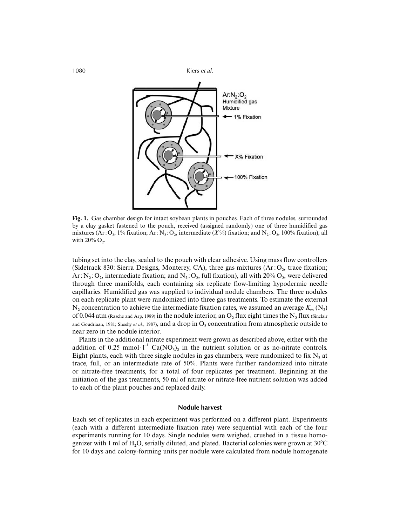

**Fig. 1.** Gas chamber design for intact soybean plants in pouches. Each of three nodules, surrounded by a clay gasket fastened to the pouch, received (assigned randomly) one of three humidified gas mixtures (Ar:  $O_2$ , 1% fixation; Ar:  $N_2$ :  $O_2$ , intermediate (*X*%) fixation; and  $N_2$ :  $O_2$ , 100% fixation), all with 20% O<sub>2</sub>.

tubing set into the clay, sealed to the pouch with clear adhesive. Using mass flow controllers (Sidetrack 830: Sierra Designs, Monterey, CA), three gas mixtures (Ar : O**2**, trace fixation; Ar :  $N_2$  :  $O_2$ , intermediate fixation; and  $N_2$  :  $O_2$ , full fixation), all with 20%  $O_2$ , were delivered through three manifolds, each containing six replicate flow-limiting hypodermic needle capillaries. Humidified gas was supplied to individual nodule chambers. The three nodules on each replicate plant were randomized into three gas treatments. To estimate the external  $N_2$  concentration to achieve the intermediate fixation rates, we assumed an average  $K_m(N_2)$ of 0.044 atm (Rasche and Arp, 1989) in the nodule interior, an O**2** flux eight times the N**2** flux (Sinclair and Goudriaan, 1981; Sheehy *et al.*, 1987), and a drop in  $O_2$  concentration from atmospheric outside to near zero in the nodule interior.

Plants in the additional nitrate experiment were grown as described above, either with the addition of 0.25 mmol·l<sup>-1</sup> Ca(NO<sub>3</sub>)<sub>2</sub> in the nutrient solution or as no-nitrate controls. Eight plants, each with three single nodules in gas chambers, were randomized to fix  $N_2$  at trace, full, or an intermediate rate of 50%. Plants were further randomized into nitrate or nitrate-free treatments, for a total of four replicates per treatment. Beginning at the initiation of the gas treatments, 50 ml of nitrate or nitrate-free nutrient solution was added to each of the plant pouches and replaced daily.

## **Nodule harvest**

Each set of replicates in each experiment was performed on a different plant. Experiments (each with a different intermediate fixation rate) were sequential with each of the four experiments running for 10 days. Single nodules were weighed, crushed in a tissue homogenizer with 1 ml of H**2**O, serially diluted, and plated. Bacterial colonies were grown at 30C for 10 days and colony-forming units per nodule were calculated from nodule homogenate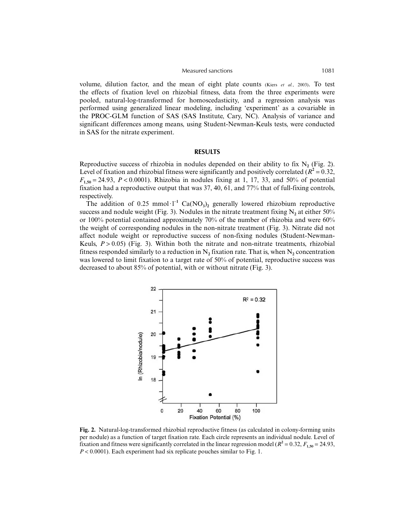#### Measured sanctions 1081

volume, dilution factor, and the mean of eight plate counts (Kiers *et al.*, 2003). To test the effects of fixation level on rhizobial fitness, data from the three experiments were pooled, natural-log-transformed for homoscedasticity, and a regression analysis was performed using generalized linear modeling, including 'experiment' as a covariable in the PROC-GLM function of SAS (SAS Institute, Cary, NC). Analysis of variance and significant differences among means, using Student-Newman-Keuls tests, were conducted in SAS for the nitrate experiment.

## **RESULTS**

Reproductive success of rhizobia in nodules depended on their ability to fix  $N_2$  (Fig. 2). Level of fixation and rhizobial fitness were significantly and positively correlated ( $R^2 = 0.32$ ,  $F_{1,50} = 24.93$ ,  $P < 0.0001$ ). Rhizobia in nodules fixing at 1, 17, 33, and 50% of potential fixation had a reproductive output that was 37, 40, 61, and 77% that of full-fixing controls, respectively.

The addition of  $0.25 \text{ mmol·l}^{-1}$  Ca(NO<sub>3</sub>)<sub>2</sub> generally lowered rhizobium reproductive success and nodule weight (Fig. 3). Nodules in the nitrate treatment fixing  $N_2$  at either 50% or 100% potential contained approximately 70% of the number of rhizobia and were 60% the weight of corresponding nodules in the non-nitrate treatment (Fig. 3). Nitrate did not affect nodule weight or reproductive success of non-fixing nodules (Student-Newman-Keuls,  $P > 0.05$ ) (Fig. 3). Within both the nitrate and non-nitrate treatments, rhizobial fitness responded similarly to a reduction in  $N_2$  fixation rate. That is, when  $N_2$  concentration was lowered to limit fixation to a target rate of 50% of potential, reproductive success was decreased to about 85% of potential, with or without nitrate (Fig. 3).



**Fig. 2.** Natural-log-transformed rhizobial reproductive fitness (as calculated in colony-forming units per nodule) as a function of target fixation rate. Each circle represents an individual nodule. Level of fixation and fitness were significantly correlated in the linear regression model ( $R^2 = 0.32$ ,  $F_{1,50} = 24.93$ , *P* < 0.0001). Each experiment had six replicate pouches similar to Fig. 1.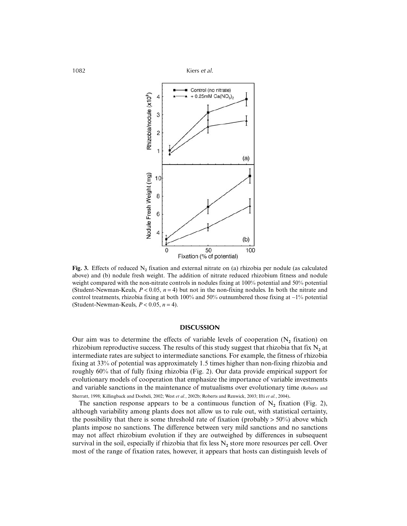

**Fig. 3.** Effects of reduced N**2** fixation and external nitrate on (a) rhizobia per nodule (as calculated above) and (b) nodule fresh weight. The addition of nitrate reduced rhizobium fitness and nodule weight compared with the non-nitrate controls in nodules fixing at 100% potential and 50% potential (Student-Newman-Keuls,  $P < 0.05$ ,  $n = 4$ ) but not in the non-fixing nodules. In both the nitrate and control treatments, rhizobia fixing at both 100% and 50% outnumbered those fixing at ∼1% potential (Student-Newman-Keuls,  $P < 0.05$ ,  $n = 4$ ).

## **DISCUSSION**

Our aim was to determine the effects of variable levels of cooperation  $(N_2$  fixation) on rhizobium reproductive success. The results of this study suggest that rhizobia that fix  $N_2$  at intermediate rates are subject to intermediate sanctions. For example, the fitness of rhizobia fixing at 33% of potential was approximately 1.5 times higher than non-fixing rhizobia and roughly 60% that of fully fixing rhizobia (Fig. 2). Our data provide empirical support for evolutionary models of cooperation that emphasize the importance of variable investments and variable sanctions in the maintenance of mutualisms over evolutionary time (Roberts and Sherratt, 1998; Killingback and Doebeli, 2002; West *et al.*, 2002b; Roberts and Renwick, 2003; Ifti *et al.*, 2004).

The sanction response appears to be a continuous function of  $N<sub>2</sub>$  fixation (Fig. 2), although variability among plants does not allow us to rule out, with statistical certainty, the possibility that there is some threshold rate of fixation (probably  $> 50\%$ ) above which plants impose no sanctions. The difference between very mild sanctions and no sanctions may not affect rhizobium evolution if they are outweighed by differences in subsequent survival in the soil, especially if rhizobia that fix less N<sub>2</sub> store more resources per cell. Over most of the range of fixation rates, however, it appears that hosts can distinguish levels of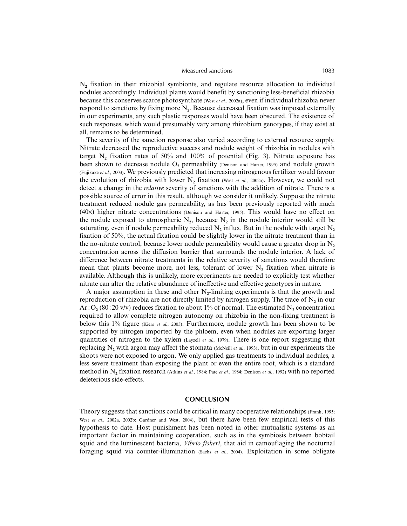## Measured sanctions 1083

N**2** fixation in their rhizobial symbionts, and regulate resource allocation to individual nodules accordingly. Individual plants would benefit by sanctioning less-beneficial rhizobia because this conserves scarce photosynthate (West *et al.*, 2002a), even if individual rhizobia never respond to sanctions by fixing more N**2**. Because decreased fixation was imposed externally in our experiments, any such plastic responses would have been obscured. The existence of such responses, which would presumably vary among rhizobium genotypes, if they exist at all, remains to be determined.

The severity of the sanction response also varied according to external resource supply. Nitrate decreased the reproductive success and nodule weight of rhizobia in nodules with target  $N_2$  fixation rates of 50% and 100% of potential (Fig. 3). Nitrate exposure has been shown to decrease nodule O<sub>2</sub> permeability (Denison and Harter, 1995) and nodule growth (Fujikake *et al.*, 2003). We previously predicted that increasing nitrogenous fertilizer would favour the evolution of rhizobia with lower N**2** fixation (West *et al.*, 2002a). However, we could not detect a change in the *relative* severity of sanctions with the addition of nitrate. There is a possible source of error in this result, although we consider it unlikely. Suppose the nitrate treatment reduced nodule gas permeability, as has been previously reported with much (40×) higher nitrate concentrations (Denison and Harter, 1995). This would have no effect on the nodule exposed to atmospheric  $N_2$ , because  $N_2$  in the nodule interior would still be saturating, even if nodule permeability reduced  $N_2$  influx. But in the nodule with target  $N_2$ fixation of 50%, the actual fixation could be slightly lower in the nitrate treatment than in the no-nitrate control, because lower nodule permeability would cause a greater drop in  $N_2$ concentration across the diffusion barrier that surrounds the nodule interior. A lack of difference between nitrate treatments in the relative severity of sanctions would therefore mean that plants become more, not less, tolerant of lower  $N_2$  fixation when nitrate is available. Although this is unlikely, more experiments are needed to explicitly test whether nitrate can alter the relative abundance of ineffective and effective genotypes in nature.

A major assumption in these and other N**2**-limiting experiments is that the growth and reproduction of rhizobia are not directly limited by nitrogen supply. The trace of  $N_2$  in our  $Ar: O_2(80:20 \text{ v/v})$  reduces fixation to about 1% of normal. The estimated N<sub>2</sub> concentration required to allow complete nitrogen autonomy on rhizobia in the non-fixing treatment is below this 1% figure (Kiers *et al.*, 2003). Furthermore, nodule growth has been shown to be supported by nitrogen imported by the phloem, even when nodules are exporting larger quantities of nitrogen to the xylem (Layzell *et al.*, 1979). There is one report suggesting that replacing  $N_2$  with argon may affect the stomata (McNeill *et al.*, 1993), but in our experiments the shoots were not exposed to argon. We only applied gas treatments to individual nodules, a less severe treatment than exposing the plant or even the entire root, which is a standard method in N**2** fixation research (Atkins *et al.*, 1984; Pate *et al.*, 1984; Denison *et al.*, 1992) with no reported deleterious side-effects.

## **CONCLUSION**

Theory suggests that sanctions could be critical in many cooperative relationships (Frank, 1995; West *et al.*, 2002a, 2002b; Gardner and West, 2004), but there have been few empirical tests of this hypothesis to date. Host punishment has been noted in other mutualistic systems as an important factor in maintaining cooperation, such as in the symbiosis between bobtail squid and the luminescent bacteria, *Vibrio fisheri*, that aid in camouflaging the nocturnal foraging squid via counter-illumination (Sachs *et al.*, 2004). Exploitation in some obligate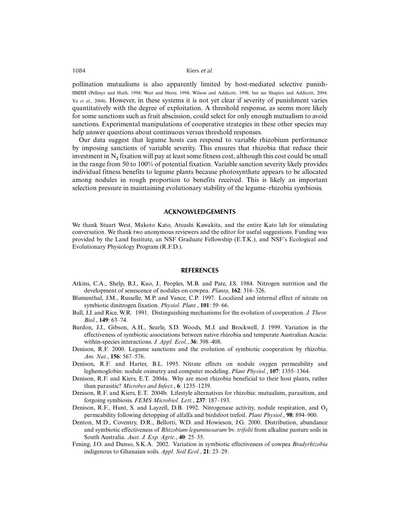pollination mutualisms is also apparently limited by host-mediated selective punishment (Pellmyr and Huth, 1994; West and Herre, 1994; Wilson and Addicott, 1998; but see Shapiro and Addicott, 2004; Yu *et al.*, 2004). However, in these systems it is not yet clear if severity of punishment varies quantitatively with the degree of exploitation. A threshold response, as seems more likely for some sanctions such as fruit abscission, could select for only enough mutualism to avoid sanctions. Experimental manipulations of cooperative strategies in these other species may help answer questions about continuous versus threshold responses.

Our data suggest that legume hosts can respond to variable rhizobium performance by imposing sanctions of variable severity. This ensures that rhizobia that reduce their investment in  $N_2$  fixation will pay at least some fitness cost, although this cost could be small in the range from 50 to 100% of potential fixation. Variable sanction severity likely provides individual fitness benefits to legume plants because photosynthate appears to be allocated among nodules in rough proportion to benefits received. This is likely an important selection pressure in maintaining evolutionary stability of the legume–rhizobia symbiosis.

#### **ACKNOWLEDGEMENTS**

We thank Stuart West, Makoto Kato, Atsushi Kawakita, and the entire Kato lab for stimulating conversation. We thank two anonymous reviewers and the editor for useful suggestions. Funding was provided by the Land Institute, an NSF Graduate Fellowship (E.T.K.), and NSF's Ecological and Evolutionary Physiology Program (R.F.D.).

#### **REFERENCES**

- Atkins, C.A., Shelp, B.J., Kuo, J., Peoples, M.B. and Pate, J.S. 1984. Nitrogen nutrition and the development of senescence of nodules on cowpea. *Planta*, **162**: 316–326.
- Blumenthal, J.M., Russelle, M.P. and Vance, C.P. 1997. Localized and internal effect of nitrate on symbiotic dinitrogen fixation. *Physiol. Plant.*, **101**: 59–66.
- Bull, J.J. and Rice, W.R. 1991. Distinguishing mechanisms for the evolution of cooperation. *J. Theor. Biol.*, **149**: 63–74.
- Burdon, J.J., Gibson, A.H., Searle, S.D. Woods, M.J. and Brockwell, J. 1999. Variation in the effectiveness of symbiotic associations between native rhizobia and temperate Australian Acacia: within-species interactions. *J. Appl. Ecol.*, **36**: 398–408.
- Denison, R.F. 2000. Legume sanctions and the evolution of symbiotic cooperation by rhizobia. *Am. Nat.*, **156**: 567–576.
- Denison, R.F. and Harter, B.L. 1995. Nitrate effects on nodule oxygen permeability and leghemoglobin: nodule oximetry and computer modeling. *Plant Physiol.*, **107**: 1355–1364.
- Denison, R.F. and Kiers, E.T. 2004a. Why are most rhizobia beneficial to their host plants, rather than parasitic? *Microbes and Infect.*, **6**: 1235–1239.
- Denison, R.F. and Kiers, E.T. 2004b. Lifestyle alternatives for rhizobia: mutualism, parasitism, and forgoing symbiosis. *FEMS Microbiol. Lett.*, **237**: 187–193.
- Denison, R.F., Hunt, S. and Layzell, D.B. 1992. Nitrogenase activity, nodule respiration, and O**<sup>2</sup>** permeability following detopping of alfalfa and birdsfoot trefoil. *Plant Physiol.*, **98**: 894–900.
- Denton, M.D., Coventry, D.R., Bellotti, W.D. and Howieson, J.G. 2000. Distribution, abundance and symbiotic effectiveness of *Rhizobium leguminosarum* bv. *trifolii* from alkaline pasture soils in South Australia. *Aust. J. Exp. Agric.*, **40**: 25–35.
- Fening, J.O. and Danso, S.K.A. 2002. Variation in symbiotic effectiveness of cowpea *Bradyrhizobia* indigenous to Ghanaian soils. *Appl. Soil Ecol.*, **21**: 23–29.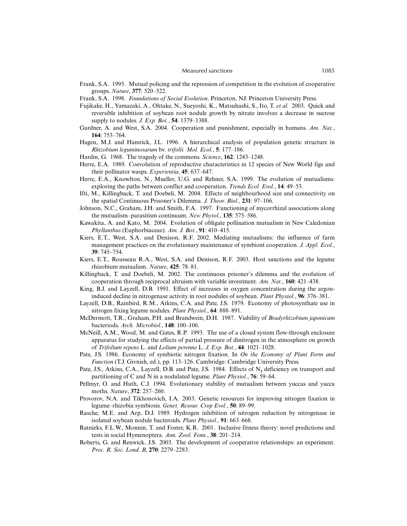- Frank, S.A. 1995. Mutual policing and the repression of competition in the evolution of cooperative groups. *Nature*, **377**: 520–522.
- Frank, S.A. 1998. *Foundations of Social Evolution*. Princeton, NJ: Princeton University Press.
- Fujikake, H., Yamazaki, A., Ohtake, N., Sueyoshi, K., Matsuhashi, S., Ito, T. *et al.* 2003. Quick and reversible inhibition of soybean root nodule growth by nitrate involves a decrease in sucrose supply to nodules. *J. Exp. Bot.*, **54**: 1379–1388.
- Gardner, A. and West, S.A. 2004. Cooperation and punishment, especially in humans. *Am. Nat.*, **164**: 753–764.
- Hagen, M.J. and Hamrick, J.L. 1996. A hierarchical analysis of population genetic structure in *Rhizobium leguminosarum* bv. *trifolii. Mol. Ecol.*, **5**: 177–186.
- Hardin, G. 1968. The tragedy of the commons. *Science*, **162**: 1243–1248.
- Herre, E.A. 1989. Coevolution of reproductive characteristics in 12 species of New World figs and their pollinator wasps. *Experientia*, **45**: 637–647.
- Herre, E.A., Knowlton, N., Mueller, U.G. and Rehner, S.A. 1999. The evolution of mutualisms: exploring the paths between conflict and cooperation. *Trends Ecol. Evol.*, **14**: 49–53.
- Ifti, M., Killingback, T. and Doebeli, M. 2004. Effects of neighbourhood size and connectivity on the spatial Continuous Prisoner's Dilemma. *J. Theor. Biol.*, **231**: 97–106.
- Johnson, N.C., Graham, J.H. and Smith, F.A. 1997. Functioning of mycorrhizal associations along the mutualism–parasitism continuum. *New Phytol.*, **135**: 575–586.
- Kawakita, A. and Kato, M. 2004. Evolution of obligate pollination mutualism in New Caledonian *Phyllanthus* (Euphorbiaceae). *Am. J. Bot.*, **91**: 410–415.
- Kiers, E.T., West, S.A. and Denison, R.F. 2002. Mediating mutualisms: the influence of farm management practices on the evolutionary maintenance of symbiont cooperation. *J. Appl. Ecol.*, **39**: 745–754.
- Kiers, E.T., Rousseau R.A., West, S.A. and Denison, R.F. 2003. Host sanctions and the legume rhizobium mutualism. *Nature*, **425**: 78–81.
- Killingback, T. and Doebeli, M. 2002. The continuous prisoner's dilemma and the evolution of cooperation through reciprocal altruism with variable investment. *Am. Nat.*, **160**: 421–438.
- King, B.J. and Layzell, D.B. 1991. Effect of increases in oxygen concentration during the argoninduced decline in nitrogenase activity in root nodules of soybean. *Plant Physiol.*, **96**: 376–381.
- Layzell, D.B., Rainbird, R.M., Atkins, C.A. and Pate, J.S. 1979. Economy of photosynthate use in nitrogen fixing legume nodules. *Plant Physiol.*, **64**: 888–891.
- McDermott, T.R., Graham, P.H. and Brandwein, D.H. 1987. Viability of *Bradyrhizobium japonicum* bacteriods. *Arch. Microbiol.*, **148**: 100–106.
- McNeill, A.M., Wood, M. and Gates, R.P. 1993. The use of a closed system flow-through enclosure apparatus for studying the effects of partial pressure of dinitrogen in the atmosphere on growth of *Trifolium repens* L. and *Lolium perenne* L. *J. Exp. Bot.*, **44**: 1021–1028.
- Pate, J.S. 1986. Economy of symbiotic nitrogen fixation. In *On the Economy of Plant Form and Function* (T.J. Givnish, ed.), pp. 113–126. Cambridge: Cambridge University Press.
- Pate, J.S., Atkins, C.A., Layzell, D.B. and Pate, J.S. 1984. Effects of N<sub>2</sub> deficiency on transport and partitioning of C and N in a nodulated legume. *Plant Physiol.*, **76**: 59–64.
- Pellmyr, O. and Huth, C.J. 1994. Evolutionary stability of mutualism between yuccas and yucca moths. *Nature*, **372**: 257–260.
- Provorov, N.A. and Tikhonovich, I.A. 2003. Genetic resources for improving nitrogen fixation in legume–rhizobia symbiosis. *Genet. Resour. Crop Evol.*, **50**: 89–99.
- Rasche, M.E. and Arp, D.J. 1989. Hydrogen inhibition of nitrogen reduction by nitrogenase in isolated soybean nodule bacteroids. *Plant Physiol.*, **91**: 663–668.
- Ratnieks, F.L.W., Monnin, T. and Foster, K.R. 2001. Inclusive fitness theory: novel predictions and tests in social Hymenoptera. *Ann. Zool. Fenn.*, **38**: 201–214.
- Roberts, G. and Renwick, J.S. 2003. The development of cooperative relationships: an experiment. *Proc. R. Soc. Lond. B*, **270**: 2279–2283.